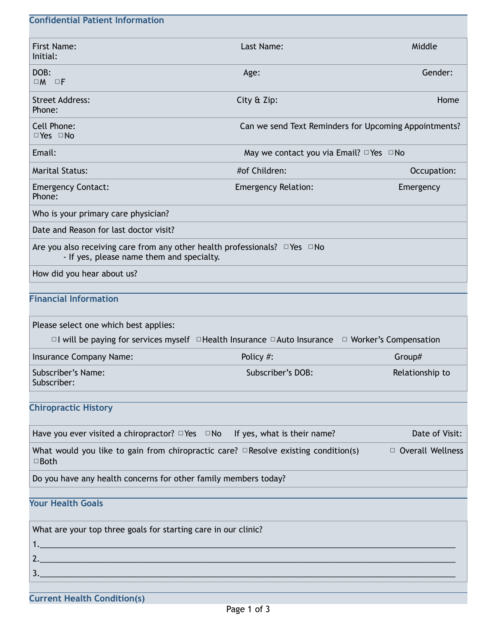| <b>Confidential Patient Information</b>                                                                                                                       |                             |                                                       |  |  |  |
|---------------------------------------------------------------------------------------------------------------------------------------------------------------|-----------------------------|-------------------------------------------------------|--|--|--|
| <b>First Name:</b><br>Initial:                                                                                                                                | Last Name:                  | Middle                                                |  |  |  |
| DOB:<br>$\Box M$ $\Box F$                                                                                                                                     | Age:                        | Gender:                                               |  |  |  |
| <b>Street Address:</b><br>Phone:                                                                                                                              | City & Zip:                 | Home                                                  |  |  |  |
| Cell Phone:<br>□Yes □No                                                                                                                                       |                             | Can we send Text Reminders for Upcoming Appointments? |  |  |  |
| Email:                                                                                                                                                        |                             | May we contact you via Email? □ Yes □ No              |  |  |  |
| <b>Marital Status:</b>                                                                                                                                        | #of Children:               | Occupation:                                           |  |  |  |
| <b>Emergency Contact:</b><br>Phone:                                                                                                                           | <b>Emergency Relation:</b>  | Emergency                                             |  |  |  |
| Who is your primary care physician?                                                                                                                           |                             |                                                       |  |  |  |
| Date and Reason for last doctor visit?                                                                                                                        |                             |                                                       |  |  |  |
| Are you also receiving care from any other health professionals? $\Box$ Yes $\Box$ No<br>- If yes, please name them and specialty.                            |                             |                                                       |  |  |  |
| How did you hear about us?                                                                                                                                    |                             |                                                       |  |  |  |
| <b>Financial Information</b>                                                                                                                                  |                             |                                                       |  |  |  |
| Please select one which best applies:<br>$\Box$ I will be paying for services myself $\Box$ Health Insurance $\Box$ Auto Insurance<br>□ Worker's Compensation |                             |                                                       |  |  |  |
| Insurance Company Name:                                                                                                                                       | Policy #:                   | Group#                                                |  |  |  |
| Subscriber's Name:<br>Subscriber:                                                                                                                             | Subscriber's DOB:           | Relationship to                                       |  |  |  |
|                                                                                                                                                               |                             |                                                       |  |  |  |
| <b>Chiropractic History</b>                                                                                                                                   |                             |                                                       |  |  |  |
| Have you ever visited a chiropractor? $\Box$ Yes $\Box$ No                                                                                                    | If yes, what is their name? | Date of Visit:                                        |  |  |  |
| What would you like to gain from chiropractic care? $\Box$ Resolve existing condition(s)<br>□ Overall Wellness<br>□Both                                       |                             |                                                       |  |  |  |
| Do you have any health concerns for other family members today?                                                                                               |                             |                                                       |  |  |  |
| <b>Your Health Goals</b>                                                                                                                                      |                             |                                                       |  |  |  |
| What are your top three goals for starting care in our clinic?                                                                                                |                             |                                                       |  |  |  |
|                                                                                                                                                               |                             |                                                       |  |  |  |
|                                                                                                                                                               |                             |                                                       |  |  |  |
|                                                                                                                                                               |                             |                                                       |  |  |  |
|                                                                                                                                                               |                             |                                                       |  |  |  |

**Current Health Condition(s)**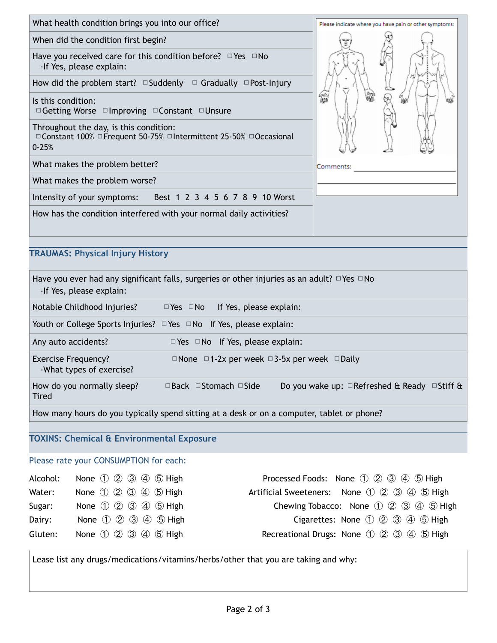| What health condition brings you into our office?                                                                                  | Please indicate where you have pain or other symptoms:                                      |  |  |  |  |
|------------------------------------------------------------------------------------------------------------------------------------|---------------------------------------------------------------------------------------------|--|--|--|--|
| When did the condition first begin?                                                                                                |                                                                                             |  |  |  |  |
| Have you received care for this condition before? $\Box$ Yes $\Box$ No<br>-If Yes, please explain:                                 |                                                                                             |  |  |  |  |
| How did the problem start? $\square$ Suddenly $\square$ Gradually $\square$ Post-Injury                                            |                                                                                             |  |  |  |  |
| Is this condition:<br>□Getting Worse □ Improving □ Constant □ Unsure<br>Throughout the day, is this condition:                     | 鑰                                                                                           |  |  |  |  |
| □ Constant 100% □ Frequent 50-75% □ Intermittent 25-50% □ Occasional<br>$0 - 25%$                                                  |                                                                                             |  |  |  |  |
| What makes the problem better?                                                                                                     | Comments:                                                                                   |  |  |  |  |
| What makes the problem worse?                                                                                                      |                                                                                             |  |  |  |  |
| Intensity of your symptoms:<br>Best 1 2 3 4 5 6 7 8 9 10 Worst                                                                     |                                                                                             |  |  |  |  |
| How has the condition interfered with your normal daily activities?                                                                |                                                                                             |  |  |  |  |
| <b>TRAUMAS: Physical Injury History</b>                                                                                            |                                                                                             |  |  |  |  |
| Have you ever had any significant falls, surgeries or other injuries as an adult? $\Box$ Yes $\Box$ No<br>-If Yes, please explain: |                                                                                             |  |  |  |  |
| Notable Childhood Injuries?<br>$\Box$ Yes $\Box$ No<br>If Yes, please explain:                                                     |                                                                                             |  |  |  |  |
| Youth or College Sports Injuries? $\Box$ Yes $\Box$ No If Yes, please explain:                                                     |                                                                                             |  |  |  |  |
| Any auto accidents?<br>$\Box$ Yes $\Box$ No If Yes, please explain:                                                                |                                                                                             |  |  |  |  |
| <b>Exercise Frequency?</b><br>□ None □ 1-2x per week □ 3-5x per week □ Daily<br>-What types of exercise?                           |                                                                                             |  |  |  |  |
| How do you normally sleep?<br>□Back □Stomach □Side<br>Do you wake up: $\Box$ Refreshed & Ready $\Box$ Stiff &<br><b>Tired</b>      |                                                                                             |  |  |  |  |
| How many hours do you typically spend sitting at a desk or on a computer, tablet or phone?                                         |                                                                                             |  |  |  |  |
| <b>TOXINS: Chemical &amp; Environmental Exposure</b>                                                                               |                                                                                             |  |  |  |  |
|                                                                                                                                    |                                                                                             |  |  |  |  |
| Please rate your CONSUMPTION for each:                                                                                             |                                                                                             |  |  |  |  |
| Processed Foods: None ① ② ③ ④ ⑤ High<br>Alcohol:<br>None $(1)$ $(2)$ $(3)$ $(4)$ $(5)$ High                                        |                                                                                             |  |  |  |  |
| None $(1)$ $(2)$ $(3)$ $(4)$ $(5)$ High<br>Water:                                                                                  | Artificial Sweeteners: None 1 2 3 4 5 High                                                  |  |  |  |  |
| None $(1)$ $(2)$ $(3)$ $(4)$ $(5)$ High<br>Sugar:<br>None $(1)$ $(2)$ $(3)$ $(4)$ $(5)$ High<br>Dairy:                             | Chewing Tobacco: None ① ② ③ ④ ⑤ High<br>Cigarettes: None $(1)$ $(2)$ $(3)$ $(4)$ $(5)$ High |  |  |  |  |
| None $(1)$ $(2)$ $(3)$ $(4)$ $(5)$ High<br>Gluten:                                                                                 | Recreational Drugs: None 1 2 3 4 5 High                                                     |  |  |  |  |
|                                                                                                                                    |                                                                                             |  |  |  |  |

Lease list any drugs/medications/vitamins/herbs/other that you are taking and why: